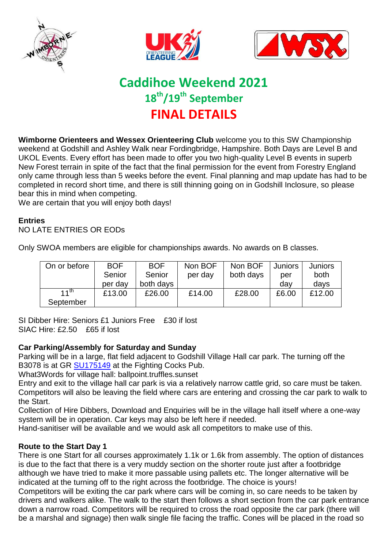





# **Caddihoe Weekend 2021 18th/19th September FINAL DETAILS**

**Wimborne Orienteers and Wessex Orienteering Club** welcome you to this SW Championship weekend at Godshill and Ashley Walk near Fordingbridge, Hampshire. Both Days are Level B and UKOL Events. Every effort has been made to offer you two high-quality Level B events in superb New Forest terrain in spite of the fact that the final permission for the event from Forestry England only came through less than 5 weeks before the event. Final planning and map update has had to be completed in record short time, and there is still thinning going on in Godshill Inclosure, so please bear this in mind when competing.

We are certain that you will enjoy both days!

#### **Entries**

NO LATE ENTRIES OR EODs

| On or before     | <b>BOF</b> |           | Non BOF | Non BOF   | <b>Juniors</b> | Juniors |  |
|------------------|------------|-----------|---------|-----------|----------------|---------|--|
|                  | Senior     | Senior    | per day | both days | per            | both    |  |
|                  | per day    | both days |         |           | dav            | days    |  |
| $11^{\text{th}}$ | £13.00     | £26.00    | £14.00  | £28.00    | £6.00          | £12.00  |  |
| September        |            |           |         |           |                |         |  |

Only SWOA members are eligible for championships awards. No awards on B classes.

SI Dibber Hire: Seniors £1 Juniors Free £30 if lost SIAC Hire: £2.50 £65 if lost

#### **Car Parking/Assembly for Saturday and Sunday**

Parking will be in a large, flat field adjacent to Godshill Village Hall car park. The turning off the B3078 is at GR [SU175149](https://www.streetmap.co.uk/map?x=417984&y=115157&z=110&sv=417984,115157&st=4&ar=Y&mapp=map&searchp=ids&dn=609&ax=417564&ay=114947&lm=0#:~:text=Location%20is%20at-,417984%2C115157,-%7C%20Click%20here%20to) at the Fighting Cocks Pub.

What3Words for village hall: ballpoint.truffles.sunset

Entry and exit to the village hall car park is via a relatively narrow cattle grid, so care must be taken. Competitors will also be leaving the field where cars are entering and crossing the car park to walk to the Start.

Collection of Hire Dibbers, Download and Enquiries will be in the village hall itself where a one-way system will be in operation. Car keys may also be left here if needed.

Hand-sanitiser will be available and we would ask all competitors to make use of this.

# **Route to the Start Day 1**

There is one Start for all courses approximately 1.1k or 1.6k from assembly. The option of distances is due to the fact that there is a very muddy section on the shorter route just after a footbridge although we have tried to make it more passable using pallets etc. The longer alternative will be indicated at the turning off to the right across the footbridge. The choice is yours!

Competitors will be exiting the car park where cars will be coming in, so care needs to be taken by drivers and walkers alike. The walk to the start then follows a short section from the car park entrance down a narrow road. Competitors will be required to cross the road opposite the car park (there will be a marshal and signage) then walk single file facing the traffic. Cones will be placed in the road so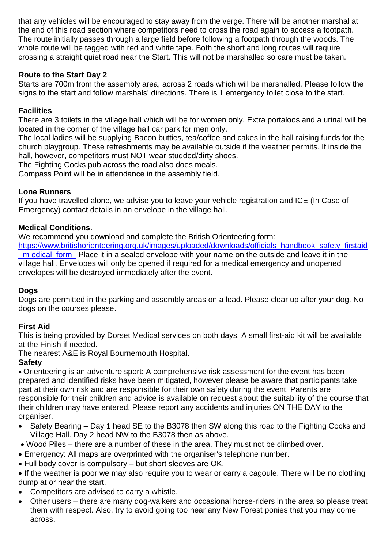that any vehicles will be encouraged to stay away from the verge. There will be another marshal at the end of this road section where competitors need to cross the road again to access a footpath. The route initially passes through a large field before following a footpath through the woods. The whole route will be tagged with red and white tape. Both the short and long routes will require crossing a straight quiet road near the Start. This will not be marshalled so care must be taken.

# **Route to the Start Day 2**

Starts are 700m from the assembly area, across 2 roads which will be marshalled. Please follow the signs to the start and follow marshals' directions. There is 1 emergency toilet close to the start.

# **Facilities**

There are 3 toilets in the village hall which will be for women only. Extra portaloos and a urinal will be located in the corner of the village hall car park for men only.

The local ladies will be supplying Bacon butties, tea/coffee and cakes in the hall raising funds for the church playgroup. These refreshments may be available outside if the weather permits. If inside the hall, however, competitors must NOT wear studded/dirty shoes.

The Fighting Cocks pub across the road also does meals.

Compass Point will be in attendance in the assembly field.

# **Lone Runners**

If you have travelled alone, we advise you to leave your vehicle registration and ICE (In Case of Emergency) contact details in an envelope in the village hall.

# **Medical Conditions**.

We recommend you download and complete the British Orienteering form: [https://www.britishorienteering.org.uk/images/uploaded/downloads/officials\\_handbook\\_safety\\_firstaid](https://www.britishorienteering.org.uk/images/uploaded/downloads/officials_handbook_safety_firstaid_m%20edical_form_) m edical form Place it in a sealed envelope with your name on the outside and leave it in the village hall. Envelopes will only be opened if required for a medical emergency and unopened envelopes will be destroyed immediately after the event.

# **Dogs**

Dogs are permitted in the parking and assembly areas on a lead. Please clear up after your dog. No dogs on the courses please.

# **First Aid**

This is being provided by Dorset Medical services on both days. A small first-aid kit will be available at the Finish if needed.

The nearest A&E is Royal Bournemouth Hospital.

# **Safety**

 Orienteering is an adventure sport: A comprehensive risk assessment for the event has been prepared and identified risks have been mitigated, however please be aware that participants take part at their own risk and are responsible for their own safety during the event. Parents are responsible for their children and advice is available on request about the suitability of the course that their children may have entered. Please report any accidents and injuries ON THE DAY to the organiser.

- Safety Bearing Day 1 head SE to the B3078 then SW along this road to the Fighting Cocks and Village Hall. Day 2 head NW to the B3078 then as above.
- Wood Piles there are a number of these in the area. They must not be climbed over.
- Emergency: All maps are overprinted with the organiser's telephone number.
- Full body cover is compulsory but short sleeves are OK.
- If the weather is poor we may also require you to wear or carry a cagoule. There will be no clothing dump at or near the start.
- Competitors are advised to carry a whistle.
- Other users there are many dog-walkers and occasional horse-riders in the area so please treat them with respect. Also, try to avoid going too near any New Forest ponies that you may come across.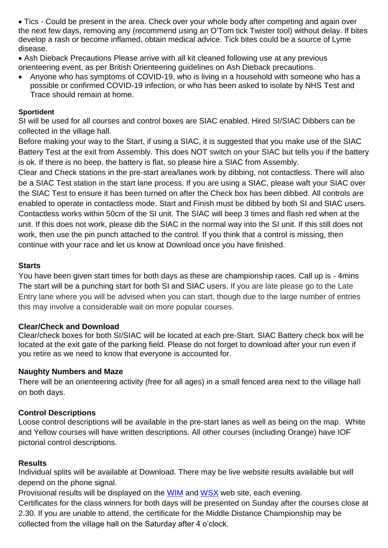Tics - Could be present in the area. Check over your whole body after competing and again over the next few days, removing any (recommend using an O'Tom tick Twister tool) without delay. If bites develop a rash or become inflamed, obtain medical advice. Tick bites could be a source of Lyme disease.

- Ash Dieback Precautions Please arrive with all kit cleaned following use at any previous orienteering event, as per British Orienteering guidelines on Ash Dieback precautions.
- Anyone who has symptoms of COVID-19, who is living in a household with someone who has a possible or confirmed COVID-19 infection, or who has been asked to isolate by NHS Test and Trace should remain at home.

#### **Sportident**

SI will be used for all courses and control boxes are SIAC enabled. Hired SI/SIAC Dibbers can be collected in the village hall.

Before making your way to the Start, if using a SIAC, it is suggested that you make use of the SIAC Battery Test at the exit from Assembly. This does NOT switch on your SIAC but tells you if the battery is ok. If there is no beep, the battery is flat, so please hire a SIAC from Assembly.

Clear and Check stations in the pre-start area/lanes work by dibbing, not contactless. There will also be a SIAC Test station in the start lane process. If you are using a SIAC, please waft your SIAC over the SIAC Test to ensure it has been turned on after the Check box has been dibbed. All controls are enabled to operate in contactless mode. Start and Finish must be dibbed by both SI and SIAC users. Contactless works within 50cm of the SI unit. The SIAC will beep 3 times and flash red when at the unit. If this does not work, please dib the SIAC in the normal way into the SI unit. If this still does not work, then use the pin punch attached to the control. If you think that a control is missing, then continue with your race and let us know at Download once you have finished.

#### **Starts**

You have been given start times for both days as these are championship races. Call up is - 4mins The start will be a punching start for both SI and SIAC users. If you are late please go to the Late Entry lane where you will be advised when you can start, though due to the large number of entries this may involve a considerable wait on more popular courses.

# **Clear/Check and Download**

Clear/check boxes for both SI/SIAC will be located at each pre-Start. SIAC Battery check box will be located at the exit gate of the parking field. Please do not forget to download after your run even if you retire as we need to know that everyone is accounted for.

#### **Naughty Numbers and Maze**

There will be an orienteering activity (free for all ages) in a small fenced area next to the village hall on both days.

# **Control Descriptions**

Loose control descriptions will be available in the pre-start lanes as well as being on the map. White and Yellow courses will have written descriptions. All other courses (including Orange) have IOF pictorial control descriptions.

#### **Results**

Individual splits will be available at Download. There may be live website results available but will depend on the phone signal.

Provisional results will be displayed on the [WIM](http://www.wimborne-orienteers.co.uk/d7/) and [WSX](http://www.wessex-oc.org/events/event/caddihoe-weekend/) web site, each evening.

Certificates for the class winners for both days will be presented on Sunday after the courses close at 2.30. If you are unable to attend, the certificate for the Middle Distance Championship may be collected from the village hall on the Saturday after 4 o'clock.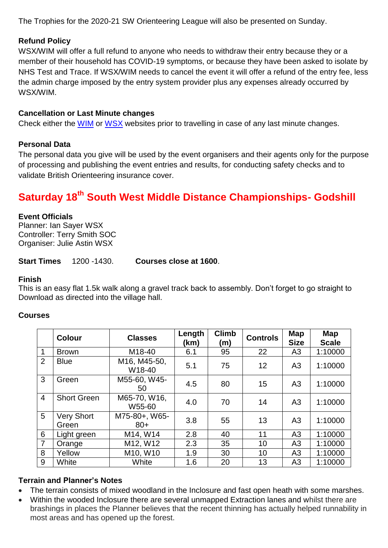The Trophies for the 2020-21 SW Orienteering League will also be presented on Sunday.

# **Refund Policy**

WSX/WIM will offer a full refund to anyone who needs to withdraw their entry because they or a member of their household has COVID-19 symptoms, or because they have been asked to isolate by NHS Test and Trace. If WSX/WIM needs to cancel the event it will offer a refund of the entry fee, less the admin charge imposed by the entry system provider plus any expenses already occurred by WSX/WIM.

# **Cancellation or Last Minute changes**

Check either the [WIM](http://www.wimborne-orienteers.co.uk/d7/) or [WSX](http://www.wessex-oc.org/events/event/caddihoe-weekend/) websites prior to travelling in case of any last minute changes.

# **Personal Data**

The personal data you give will be used by the event organisers and their agents only for the purpose of processing and publishing the event entries and results, for conducting safety checks and to validate British Orienteering insurance cover.

# **Saturday 18th South West Middle Distance Championships- Godshill**

#### **Event Officials**

Planner: Ian Sayer WSX Controller: Terry Smith SOC Organiser: Julie Astin WSX

**Start Times** 1200 -1430. **Courses close at 1600**.

#### **Finish**

This is an easy flat 1.5k walk along a gravel track back to assembly. Don't forget to go straight to Download as directed into the village hall.

# **Courses**

|                 | <b>Colour</b>              | <b>Classes</b>         | Length<br>(km) | <b>Climb</b><br>(m) | <b>Controls</b> | Map<br><b>Size</b> | Map<br><b>Scale</b> |
|-----------------|----------------------------|------------------------|----------------|---------------------|-----------------|--------------------|---------------------|
| $\mathbf 1$     | <b>Brown</b>               | M18-40                 | 6.1            | 95                  | 22              | A3                 | 1:10000             |
| 2               | <b>Blue</b>                | M16, M45-50,<br>W18-40 | 5.1            | 75                  | 12              | A3                 | 1:10000             |
| $\mathbf{3}$    | Green                      | M55-60, W45-<br>50     | 4.5            | 80                  | 15              | A3                 | 1:10000             |
| $\overline{4}$  | <b>Short Green</b>         | M65-70, W16,<br>W55-60 | 4.0            | 70                  | 14              | A <sub>3</sub>     | 1:10000             |
| $5\overline{)}$ | <b>Very Short</b><br>Green | M75-80+, W65-<br>$80+$ | 3.8            | 55                  | 13              | A3                 | 1:10000             |
| 6               | Light green                | M14, W14               | 2.8            | 40                  | 11              | A3                 | 1:10000             |
| $\overline{7}$  | Orange                     | M12, W12               | 2.3            | 35                  | 10              | A <sub>3</sub>     | 1:10000             |
| 8               | Yellow                     | M10, W10               | 1.9            | 30                  | 10              | A <sub>3</sub>     | 1:10000             |
| 9               | White                      | White                  | 1.6            | 20                  | 13              | A <sub>3</sub>     | 1:10000             |

# **Terrain and Planner's Notes**

- The terrain consists of mixed woodland in the Inclosure and fast open heath with some marshes.
- Within the wooded Inclosure there are several unmapped Extraction lanes and whilst there are brashings in places the Planner believes that the recent thinning has actually helped runnability in most areas and has opened up the forest.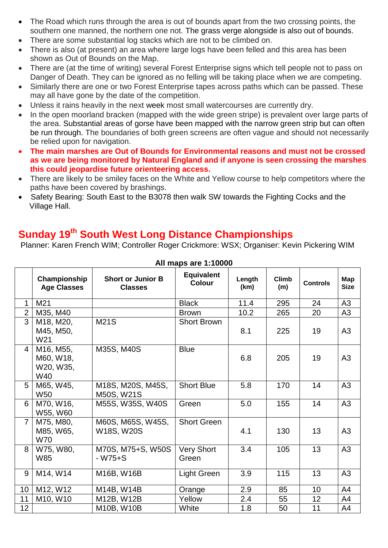- The Road which runs through the area is out of bounds apart from the two crossing points, the southern one manned, the northern one not. The grass verge alongside is also out of bounds.
- There are some substantial log stacks which are not to be climbed on.
- There is also (at present) an area where large logs have been felled and this area has been shown as Out of Bounds on the Map.
- There are (at the time of writing) several Forest Enterprise signs which tell people not to pass on Danger of Death. They can be ignored as no felling will be taking place when we are competing.
- Similarly there are one or two Forest Enterprise tapes across paths which can be passed. These may all have gone by the date of the competition.
- Unless it rains heavily in the next week most small watercourses are currently dry.
- In the open moorland bracken (mapped with the wide green stripe) is prevalent over large parts of the area. Substantial areas of gorse have been mapped with the narrow green strip but can often be run through. The boundaries of both green screens are often vague and should not necessarily be relied upon for navigation.
- **The main marshes are Out of Bounds for Environmental reasons and must not be crossed as we are being monitored by Natural England and if anyone is seen crossing the marshes this could jeopardise future orienteering access.**
- There are likely to be smiley faces on the White and Yellow course to help competitors where the paths have been covered by brashings.
- Safety Bearing: South East to the B3078 then walk SW towards the Fighting Cocks and the Village Hall.

# **Sunday 19th South West Long Distance Championships**

Planner: Karen French WIM; Controller Roger Crickmore: WSX; Organiser: Kevin Pickering WIM

|                | Championship<br><b>Age Classes</b>         | <b>Short or Junior B</b><br><b>Classes</b> | <b>Equivalent</b><br><b>Colour</b> | Length<br>(km) | <b>Climb</b><br>(m) | <b>Controls</b> | Map<br><b>Size</b> |
|----------------|--------------------------------------------|--------------------------------------------|------------------------------------|----------------|---------------------|-----------------|--------------------|
| 1              | M21                                        |                                            | <b>Black</b>                       | 11.4           | 295                 | 24              | A <sub>3</sub>     |
| $\overline{2}$ | M35, M40                                   |                                            | <b>Brown</b>                       | 10.2           | 265                 | 20              | A3                 |
| 3              | M18, M20,<br>M45, M50,<br>W21              | <b>M21S</b>                                | <b>Short Brown</b>                 | 8.1            | 225                 | 19              | A <sub>3</sub>     |
| 4              | M16, M55,<br>M60, W18,<br>W20, W35,<br>W40 | M35S, M40S                                 | <b>Blue</b>                        | 6.8            | 205                 | 19              | A3                 |
| 5              | M65, W45,<br>W50                           | M18S, M20S, M45S,<br>M50S, W21S            | <b>Short Blue</b>                  | 5.8            | 170                 | 14              | A3                 |
| 6              | M70, W16,<br>W55, W60                      | M55S, W35S, W40S                           | Green                              | 5.0            | 155                 | 14              | A3                 |
| $\overline{7}$ | M75, M80,<br>M85, W65,<br><b>W70</b>       | M60S, M65S, W45S,<br>W18S, W20S            | <b>Short Green</b>                 | 4.1            | 130                 | 13              | A3                 |
| 8              | W75, W80,<br>W85                           | M70S, M75+S, W50S<br>$-W75+S$              | <b>Very Short</b><br>Green         | 3.4            | 105                 | 13              | A3                 |
| 9              | M14, W14                                   | M16B, W16B                                 | Light Green                        | 3.9            | 115                 | 13              | A <sub>3</sub>     |
| 10             | M12, W12                                   | M14B, W14B                                 | Orange                             | 2.9            | 85                  | 10              | A4                 |
| 11             | M10, W10                                   | M12B, W12B                                 | Yellow                             | 2.4            | 55                  | 12              | A4                 |
| 12             |                                            | M10B, W10B                                 | White                              | 1.8            | 50                  | 11              | A4                 |

#### **All maps are 1:10000**